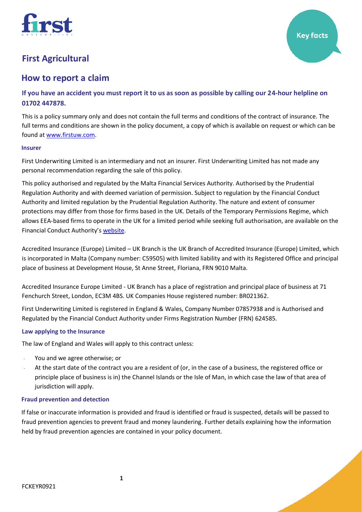

# **How to report a claim**

**If you have an accident you must report it to us as soon as possible by calling our 24-hour helpline on 01702 447878.** 

This is a policy summary only and does not contain the full terms and conditions of the contract of insurance. The full terms and conditions are shown in the policy document, a copy of which is available on request or which can be found at [www.firstuw.com.](http://www.firstuw.com/)

### **Insurer**

First Underwriting Limited is an intermediary and not an insurer. First Underwriting Limited has not made any personal recommendation regarding the sale of this policy.

This policy authorised and regulated by the Malta Financial Services Authority. Authorised by the Prudential Regulation Authority and with deemed variation of permission. Subject to regulation by the Financial Conduct Authority and limited regulation by the Prudential Regulation Authority. The nature and extent of consumer protections may differ from those for firms based in the UK. Details of the Temporary Permissions Regime, which allows EEA-based firms to operate in the UK for a limited period while seeking full authorisation, are available on the Financial Conduct Authority's [website.](https://www.fca.org.uk/)

Accredited Insurance (Europe) Limited – UK Branch is the UK Branch of Accredited Insurance (Europe) Limited, which is incorporated in Malta (Company number: C59505) with limited liability and with its Registered Office and principal place of business at Development House, St Anne Street, Floriana, FRN 9010 Malta.

Accredited Insurance Europe Limited - UK Branch has a place of registration and principal place of business at 71 Fenchurch Street, London, EC3M 4BS. UK Companies House registered number: BR021362.

First Underwriting Limited is registered in England & Wales, Company Number 07857938 and is Authorised and Regulated by the Financial Conduct Authority under Firms Registration Number (FRN) 624585.

# **Law applying to the Insurance**

The law of England and Wales will apply to this contract unless:

- You and we agree otherwise; or
- At the start date of the contract you are a resident of (or, in the case of a business, the registered office or principle place of business is in) the Channel Islands or the Isle of Man, in which case the law of that area of jurisdiction will apply.

### **Fraud prevention and detection**

If false or inaccurate information is provided and fraud is identified or fraud is suspected, details will be passed to fraud prevention agencies to prevent fraud and money laundering. Further details explaining how the information held by fraud prevention agencies are contained in your policy document.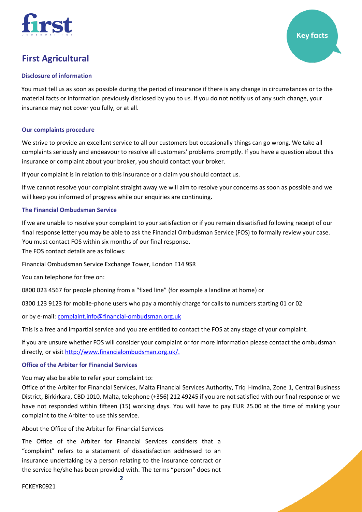

### **Disclosure of information**

You must tell us as soon as possible during the period of insurance if there is any change in circumstances or to the material facts or information previously disclosed by you to us. If you do not notify us of any such change, your insurance may not cover you fully, or at all.

**Key facts** 

# **Our complaints procedure**

We strive to provide an excellent service to all our customers but occasionally things can go wrong. We take all complaints seriously and endeavour to resolve all customers' problems promptly. If you have a question about this insurance or complaint about your broker, you should contact your broker.

If your complaint is in relation to this insurance or a claim you should contact us.

If we cannot resolve your complaint straight away we will aim to resolve your concerns as soon as possible and we will keep you informed of progress while our enquiries are continuing.

# **The Financial Ombudsman Service**

If we are unable to resolve your complaint to your satisfaction or if you remain dissatisfied following receipt of our final response letter you may be able to ask the Financial Ombudsman Service (FOS) to formally review your case. You must contact FOS within six months of our final response.

The FOS contact details are as follows:

Financial Ombudsman Service Exchange Tower, London E14 9SR

You can telephone for free on:

0800 023 4567 for people phoning from a "fixed line" (for example a landline at home) or

0300 123 9123 for mobile-phone users who pay a monthly charge for calls to numbers starting 01 or 02

or by e-mail[: complaint.info@financial-ombudsman.org.uk](mailto:complaint.info@financial-ombudsman.org.uk)

This is a free and impartial service and you are entitled to contact the FOS at any stage of your complaint.

If you are unsure whether FOS will consider your complaint or for more information please contact the ombudsman directly, or visit [http://www.financialombudsman.org.uk/.](http://www.financialombudsman.org.uk/)

### **Office of the Arbiter for Financial Services**

You may also be able to refer your complaint to:

Office of the Arbiter for Financial Services, Malta Financial Services Authority, Triq l-Imdina, Zone 1, Central Business District, Birkirkara, CBD 1010, Malta, telephone (+356) 212 49245 if you are not satisfied with our final response or we have not responded within fifteen (15) working days. You will have to pay EUR 25.00 at the time of making your complaint to the Arbiter to use this service.

About the Office of the Arbiter for Financial Services

The Office of the Arbiter for Financial Services considers that a "complaint" refers to a statement of dissatisfaction addressed to an insurance undertaking by a person relating to the insurance contract or the service he/she has been provided with. The terms "person" does not

**2**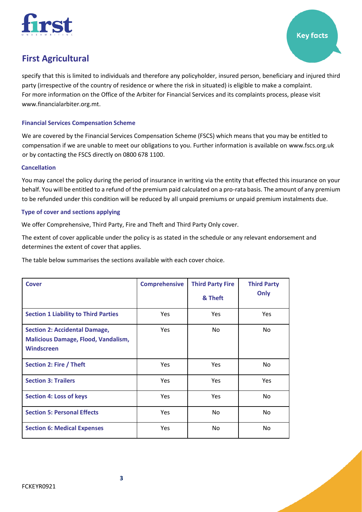

specify that this is limited to individuals and therefore any policyholder, insured person, beneficiary and injured third party (irrespective of the country of residence or where the risk in situated) is eligible to make a complaint. For more information on the Office of the Arbiter for Financial Services and its complaints process, please visit www.financialarbiter.org.mt.

# **Financial Services Compensation Scheme**

We are covered by the Financial Services Compensation Scheme (FSCS) which means that you may be entitled to compensation if we are unable to meet our obligations to you. Further information is available on [www.fscs.org.uk](http://www.fscs.org.uk/)  or by contacting the FSCS directly on 0800 678 1100.

### **Cancellation**

You may cancel the policy during the period of insurance in writing via the entity that effected this insurance on your behalf. You will be entitled to a refund of the premium paid calculated on a pro-rata basis. The amount of any premium to be refunded under this condition will be reduced by all unpaid premiums or unpaid premium instalments due.

### **Type of cover and sections applying**

We offer Comprehensive, Third Party, Fire and Theft and Third Party Only cover.

The extent of cover applicable under the policy is as stated in the schedule or any relevant endorsement and determines the extent of cover that applies.

The table below summarises the sections available with each cover choice.

| <b>Cover</b>                                                                                            | <b>Comprehensive</b> | <b>Third Party Fire</b><br>& Theft | <b>Third Party</b><br>Only |
|---------------------------------------------------------------------------------------------------------|----------------------|------------------------------------|----------------------------|
| <b>Section 1 Liability to Third Parties</b>                                                             | <b>Yes</b>           | <b>Yes</b>                         | <b>Yes</b>                 |
| <b>Section 2: Accidental Damage,</b><br><b>Malicious Damage, Flood, Vandalism,</b><br><b>Windscreen</b> | <b>Yes</b>           | No                                 | <b>No</b>                  |
| Section 2: Fire / Theft                                                                                 | <b>Yes</b>           | <b>Yes</b>                         | <b>No</b>                  |
| <b>Section 3: Trailers</b>                                                                              | <b>Yes</b>           | <b>Yes</b>                         | Yes                        |
| <b>Section 4: Loss of keys</b>                                                                          | <b>Yes</b>           | <b>Yes</b>                         | <b>No</b>                  |
| <b>Section 5: Personal Effects</b>                                                                      | <b>Yes</b>           | No                                 | <b>No</b>                  |
| <b>Section 6: Medical Expenses</b>                                                                      | Yes                  | No                                 | <b>No</b>                  |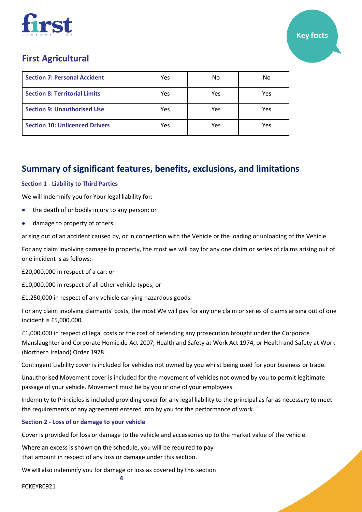

| <b>Section 7: Personal Accident</b>   | Yes | No  | No  |
|---------------------------------------|-----|-----|-----|
| <b>Section 8: Territorial Limits</b>  | Yes | Yes | Yes |
| <b>Section 9: Unauthorised Use</b>    | Yes | Yes | Yes |
| <b>Section 10: Unlicenced Drivers</b> | Yes | Yes | Yes |

# **Summary of significant features, benefits, exclusions, and limitations**

# **Section 1 - Liability to Third Parties**

We will indemnify you for Your legal liability for:

- the death of or bodily injury to any person; or
- damage to property of others

arising out of an accident caused by, or in connection with the Vehicle or the loading or unloading of the Vehicle.

For any claim involving damage to property, the most we will pay for any one claim or series of claims arising out of one incident is as follows:-

£20,000,000 in respect of a car; or

£10,000,000 in respect of all other vehicle types; or

£1,250,000 in respect of any vehicle carrying hazardous goods.

For any claim involving claimants' costs, the most We will pay for any one claim or series of claims arising out of one incident is £5,000,000.

£1,000,000 in respect of legal costs or the cost of defending any prosecution brought under the Corporate Manslaughter and Corporate Homicide Act 2007, Health and Safety at Work Act 1974, or Health and Safety at Work (Northern Ireland) Order 1978.

Contingent Liability cover is included for vehicles not owned by you whilst being used for your business or trade.

Unauthorised Movement cover is included for the movement of vehicles not owned by you to permit legitimate passage of your vehicle. Movement must be by you or one of your employees.

Indemnity to Principles is included providing cover for any legal liability to the principal as far as necessary to meet the requirements of any agreement entered into by you for the performance of work.

# **Section 2 - Loss of or damage to your vehicle**

Cover is provided for loss or damage to the vehicle and accessories up to the market value of the vehicle.

Where an excess is shown on the schedule, you will be required to pay that amount in respect of any loss or damage under this section.

**4** We will also indemnify you for damage or loss as covered by this section

FCKEYR0921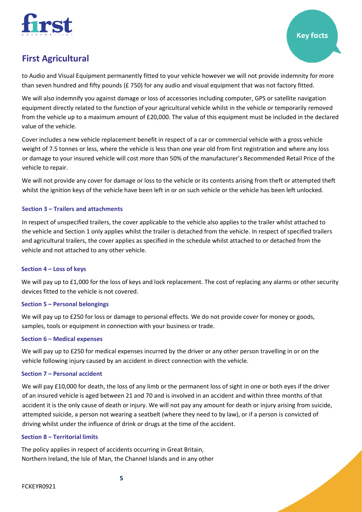

to Audio and Visual Equipment permanently fitted to your vehicle however we will not provide indemnity for more than seven hundred and fifty pounds (£750) for any audio and visual equipment that was not factory fitted.

We will also indemnify you against damage or loss of accessories including computer, GPS or satellite navigation equipment directly related to the function of your agricultural vehicle whilst in the vehicle or temporarily removed from the vehicle up to a maximum amount of £20,000. The value of this equipment must be included in the declared value of the vehicle.

Cover includes a new vehicle replacement benefit in respect of a car or commercial vehicle with a gross vehicle weight of 7.5 tonnes or less, where the vehicle is less than one year old from first registration and where any loss or damage to your insured vehicle will cost more than 50% of the manufacturer's Recommended Retail Price of the vehicle to repair.

We will not provide any cover for damage or loss to the vehicle or its contents arising from theft or attempted theft whilst the ignition keys of the vehicle have been left in or on such vehicle or the vehicle has been left unlocked.

# **Section 3 – Trailers and attachments**

In respect of unspecified trailers, the cover applicable to the vehicle also applies to the trailer whilst attached to the vehicle and Section 1 only applies whilst the trailer is detached from the vehicle. In respect of specified trailers and agricultural trailers, the cover applies as specified in the schedule whilst attached to or detached from the vehicle and not attached to any other vehicle.

### **Section 4 – Loss of keys**

We will pay up to £1,000 for the loss of keys and lock replacement. The cost of replacing any alarms or other security devices fitted to the vehicle is not covered.

# **Section 5 – Personal belongings**

We will pay up to £250 for loss or damage to personal effects. We do not provide cover for money or goods, samples, tools or equipment in connection with your business or trade.

### **Section 6 – Medical expenses**

We will pay up to £250 for medical expenses incurred by the driver or any other person travelling in or on the vehicle following injury caused by an accident in direct connection with the vehicle.

### **Section 7 – Personal accident**

We will pay £10,000 for death, the loss of any limb or the permanent loss of sight in one or both eyes if the driver of an insured vehicle is aged between 21 and 70 and is involved in an accident and within three months of that accident it is the only cause of death or injury. We will not pay any amount for death or injury arising from suicide, attempted suicide, a person not wearing a seatbelt (where they need to by law), or if a person is convicted of driving whilst under the influence of drink or drugs at the time of the accident.

### **Section 8 – Territorial limits**

The policy applies in respect of accidents occurring in Great Britain, Northern Ireland, the Isle of Man, the Channel Islands and in any other